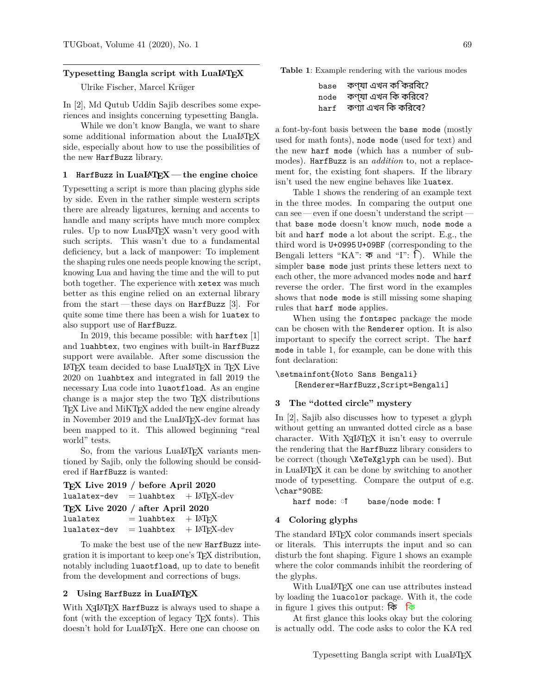## **Typesetting Bangla script with LuaLATEX**

Ulrike Fischer, Marcel Krüger

In [2], Md Qutub Uddin Sajib describes some experiences and insights concerning typesetting Bangla.

While we don't know Bangla, we want to share some additional information about the LuaLAT<sub>EX</sub> side, especially about how to use the possibilities of the new HarfBuzz library.

# **1 HarfBuzz in LuaLATEX— the engine choice**

Typesetting a script is more than placing glyphs side by side. Even in the rather simple western scripts there are already ligatures, kerning and accents to handle and many scripts have much more complex rules. Up to now LuaLATEX wasn't very good with such scripts. This wasn't due to a fundamental deficiency, but a lack of manpower: To implement the shaping rules one needs people knowing the script, knowing Lua and having the time and the will to put both together. The experience with xetex was much better as this engine relied on an external library from the start— these days on HarfBuzz [3]. For quite some time there has been a wish for luatex to also support use of HarfBuzz.

In 2019, this became possible: with harftex [1] and luahbtex, two engines with built-in HarfBuzz support were available. After some discussion the LATEX team decided to base LuaLATEX in TEX Live 2020 on luahbtex and integrated in fall 2019 the necessary Lua code into luaotfload. As an engine change is a major step the two TEX distributions TEX Live and MIKTEX added the new engine already in November 2019 and the LuaLATEX-dev format has been mapped to it. This allowed beginning "real world" tests.

So, from the various LuaLAT<sub>EX</sub> variants mentioned by Sajib, only the following should be considered if HarfBuzz is wanted:

```
TEX Live 2019 / before April 2020
lualatex-dev = luahbtex + L<sup>AT</sup>FX-dev
TEX Live 2020 / after April 2020
lualatex = luahbtex + LATFXlualatex-dev = luahbtex + \text{LATEX-dev}
```
To make the best use of the new HarfBuzz integration it is important to keep one's TEX distribution, notably including luaotfload, up to date to benefit from the development and corrections of bugs.

## **2 Using HarfBuzz in LuaLATEX**

With  $X\exists$  Let  $X$  HarfBuzz is always used to shape a font (with the exception of legacy T<sub>EX</sub> fonts). This doesn't hold for LuaLAT<sub>F</sub>X. Here one can choose on

**Table 1**: Example rendering with the various modes

```
base কণ্যা এখন কি করিবে?
node কণ্যা এখন িক কিরেব?
harf কণ্যা এখন কি করিবে?
```
a font-by-font basis between the base mode (mostly used for math fonts), node mode (used for text) and the new harf mode (which has a number of submodes). HarfBuzz is an *addition* to, not a replacement for, the existing font shapers. If the library isn't used the new engine behaves like luatex.

Table 1 shows the rendering of an example text in the three modes. In comparing the output one can see — even if one doesn't understand the script that base mode doesn't know much, node mode a bit and harf mode a lot about the script. E.g., the third word is U+0995 U+09BF (corresponding to the Bengali letters "KA":  $\overline{\Phi}$  and "I": f). While the simpler base mode just prints these letters next to each other, the more advanced modes node and harf reverse the order. The first word in the examples shows that node mode is still missing some shaping rules that harf mode applies.

When using the fontspec package the mode can be chosen with the Renderer option. It is also important to specify the correct script. The harf mode in table 1, for example, can be done with this font declaration:

\setmainfont{Noto Sans Bengali} [Renderer=HarfBuzz,Script=Bengali]

## **3 The "dotted circle" mystery**

In [2], Sajib also discusses how to typeset a glyph without getting an unwanted dotted circle as a base character. With  $X\text{H}Y\text{F}X$  it isn't easy to overrule the rendering that the HarfBuzz library considers to be correct (though \XeTeXglyph can be used). But in LuaLATEX it can be done by switching to another mode of typesetting. Compare the output of e.g. \char"90BE:

harf mode: **i** base/node mode: i

#### **4 Coloring glyphs**

The standard LATEX color commands insert specials or literals. This interrupts the input and so can disturb the font shaping. Figure 1 shows an example where the color commands inhibit the reordering of the glyphs.

With LuaLATEX one can use attributes instead by loading the luacolor package. With it, the code in figure 1 gives this output: কি কি

At first glance this looks okay but the coloring is actually odd. The code asks to color the KA red